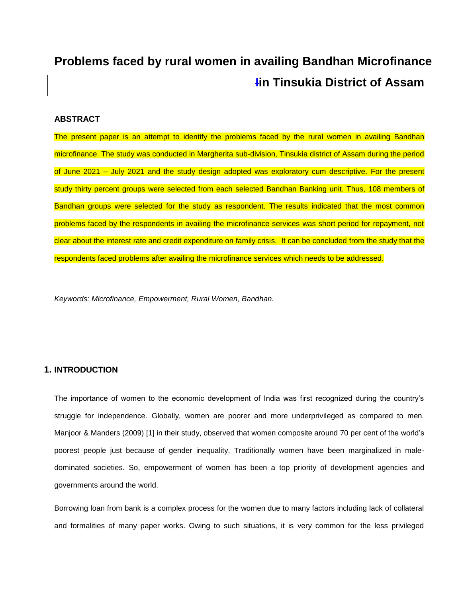# **Problems faced by rural women in availing Bandhan Microfinance Iin Tinsukia District of Assam**

#### **ABSTRACT**

The present paper is an attempt to identify the problems faced by the rural women in availing Bandhan microfinance. The study was conducted in Margherita sub-division, Tinsukia district of Assam during the period of June 2021 – July 2021 and the study design adopted was exploratory cum descriptive. For the present study thirty percent groups were selected from each selected Bandhan Banking unit. Thus, 108 members of Bandhan groups were selected for the study as respondent. The results indicated that the most common problems faced by the respondents in availing the microfinance services was short period for repayment, not clear about the interest rate and credit expenditure on family crisis. It can be concluded from the study that the respondents faced problems after availing the microfinance services which needs to be addressed.

*Keywords: Microfinance, Empowerment, Rural Women, Bandhan.*

# **1. INTRODUCTION**

The importance of women to the economic development of India was first recognized during the country's struggle for independence. Globally, women are poorer and more underprivileged as compared to men. Manjoor & Manders (2009) [1] in their study, observed that women composite around 70 per cent of the world's poorest people just because of gender inequality. Traditionally women have been marginalized in maledominated societies. So, empowerment of women has been a top priority of development agencies and governments around the world.

Borrowing loan from bank is a complex process for the women due to many factors including lack of collateral and formalities of many paper works. Owing to such situations, it is very common for the less privileged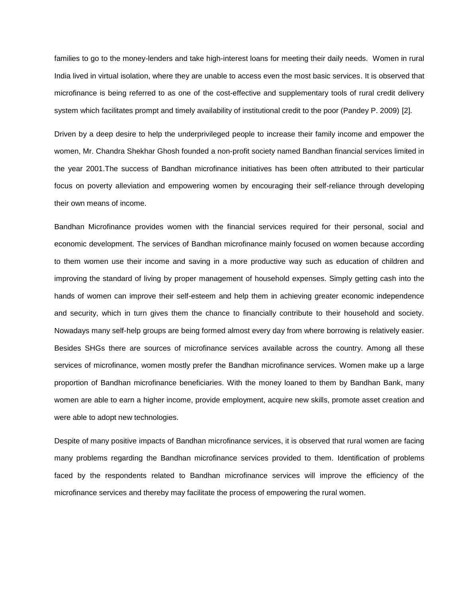families to go to the money-lenders and take high-interest loans for meeting their daily needs. Women in rural India lived in virtual isolation, where they are unable to access even the most basic services. It is observed that microfinance is being referred to as one of the cost-effective and supplementary tools of rural credit delivery system which facilitates prompt and timely availability of institutional credit to the poor (Pandey P. 2009) [2].

Driven by a deep desire to help the underprivileged people to increase their family income and empower the women, Mr. Chandra Shekhar Ghosh founded a non-profit society named Bandhan financial services limited in the year 2001.The success of Bandhan microfinance initiatives has been often attributed to their particular focus on poverty alleviation and empowering women by encouraging their self-reliance through developing their own means of income.

Bandhan Microfinance provides women with the financial services required for their personal, social and economic development. The services of Bandhan microfinance mainly focused on women because according to them women use their income and saving in a more productive way such as education of children and improving the standard of living by proper management of household expenses. Simply getting cash into the hands of women can improve their self-esteem and help them in achieving greater economic independence and security, which in turn gives them the chance to financially contribute to their household and society. Nowadays many self-help groups are being formed almost every day from where borrowing is relatively easier. Besides SHGs there are sources of microfinance services available across the country. Among all these services of microfinance, women mostly prefer the Bandhan microfinance services. Women make up a large proportion of Bandhan microfinance beneficiaries. With the money loaned to them by Bandhan Bank, many women are able to earn a higher income, provide employment, acquire new skills, promote asset creation and were able to adopt new technologies.

Despite of many positive impacts of Bandhan microfinance services, it is observed that rural women are facing many problems regarding the Bandhan microfinance services provided to them. Identification of problems faced by the respondents related to Bandhan microfinance services will improve the efficiency of the microfinance services and thereby may facilitate the process of empowering the rural women.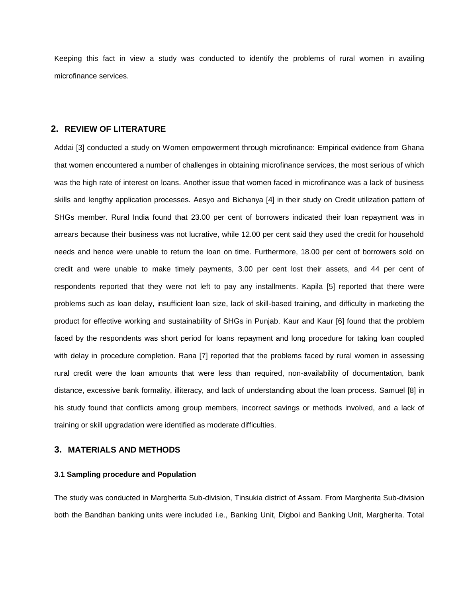Keeping this fact in view a study was conducted to identify the problems of rural women in availing microfinance services.

# **2. REVIEW OF LITERATURE**

Addai [3] conducted a study on Women empowerment through microfinance: Empirical evidence from Ghana that women encountered a number of challenges in obtaining microfinance services, the most serious of which was the high rate of interest on loans. Another issue that women faced in microfinance was a lack of business skills and lengthy application processes. Aesyo and Bichanya [4] in their study on Credit utilization pattern of SHGs member. Rural India found that 23.00 per cent of borrowers indicated their loan repayment was in arrears because their business was not lucrative, while 12.00 per cent said they used the credit for household needs and hence were unable to return the loan on time. Furthermore, 18.00 per cent of borrowers sold on credit and were unable to make timely payments, 3.00 per cent lost their assets, and 44 per cent of respondents reported that they were not left to pay any installments. Kapila [5] reported that there were problems such as loan delay, insufficient loan size, lack of skill-based training, and difficulty in marketing the product for effective working and sustainability of SHGs in Punjab. Kaur and Kaur [6] found that the problem faced by the respondents was short period for loans repayment and long procedure for taking loan coupled with delay in procedure completion. Rana [7] reported that the problems faced by rural women in assessing rural credit were the loan amounts that were less than required, non-availability of documentation, bank distance, excessive bank formality, illiteracy, and lack of understanding about the loan process. Samuel [8] in his study found that conflicts among group members, incorrect savings or methods involved, and a lack of training or skill upgradation were identified as moderate difficulties.

#### **3. MATERIALS AND METHODS**

#### **3.1 Sampling procedure and Population**

The study was conducted in Margherita Sub-division, Tinsukia district of Assam. From Margherita Sub-division both the Bandhan banking units were included i.e., Banking Unit, Digboi and Banking Unit, Margherita. Total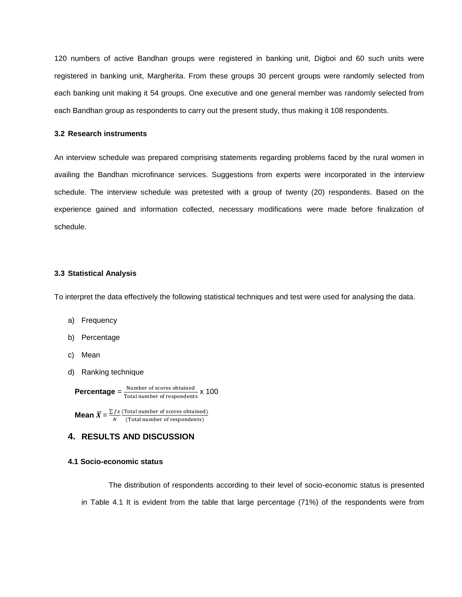120 numbers of active Bandhan groups were registered in banking unit, Digboi and 60 such units were registered in banking unit, Margherita. From these groups 30 percent groups were randomly selected from each banking unit making it 54 groups. One executive and one general member was randomly selected from each Bandhan group as respondents to carry out the present study, thus making it 108 respondents.

#### **3.2 Research instruments**

An interview schedule was prepared comprising statements regarding problems faced by the rural women in availing the Bandhan microfinance services. Suggestions from experts were incorporated in the interview schedule. The interview schedule was pretested with a group of twenty (20) respondents. Based on the experience gained and information collected, necessary modifications were made before finalization of schedule.

#### **3.3 Statistical Analysis**

To interpret the data effectively the following statistical techniques and test were used for analysing the data.

- a) Frequency
- b) Percentage
- c) Mean
- d) Ranking technique

**Percentage** =  $\frac{N}{200}$ Total number of respondents x 100

**Mean**  $\bar{X} = \frac{\Sigma}{\sigma}$ N  $\overline{(\ }$  $\overline{(\ }$ 

# **4. RESULTS AND DISCUSSION**

#### **4.1 Socio-economic status**

The distribution of respondents according to their level of socio-economic status is presented in Table 4.1 It is evident from the table that large percentage (71%) of the respondents were from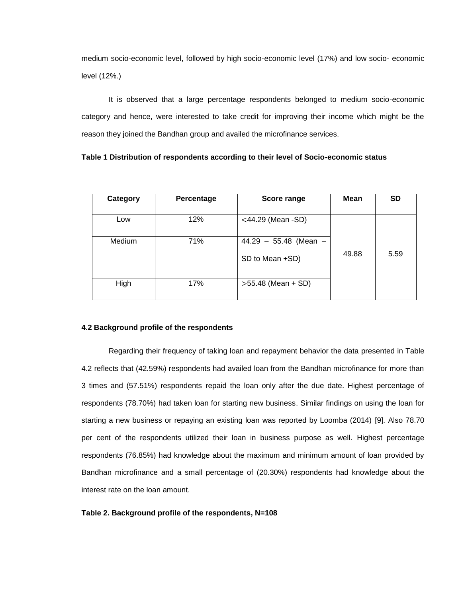medium socio-economic level, followed by high socio-economic level (17%) and low socio- economic level (12%.)

It is observed that a large percentage respondents belonged to medium socio-economic category and hence, were interested to take credit for improving their income which might be the reason they joined the Bandhan group and availed the microfinance services.

|  |  |  |  | Table 1 Distribution of respondents according to their level of Socio-economic status |
|--|--|--|--|---------------------------------------------------------------------------------------|
|--|--|--|--|---------------------------------------------------------------------------------------|

| Category | Percentage | Score range                                | <b>Mean</b> | <b>SD</b> |
|----------|------------|--------------------------------------------|-------------|-----------|
| Low      | 12%        | $<$ 44.29 (Mean -SD)                       |             |           |
| Medium   | 71%        | $44.29 - 55.48$ (Mean -<br>SD to Mean +SD) | 49.88       | 5.59      |
| High     | 17%        | $>55.48$ (Mean + SD)                       |             |           |

#### **4.2 Background profile of the respondents**

Regarding their frequency of taking loan and repayment behavior the data presented in Table 4.2 reflects that (42.59%) respondents had availed loan from the Bandhan microfinance for more than 3 times and (57.51%) respondents repaid the loan only after the due date. Highest percentage of respondents (78.70%) had taken loan for starting new business. Similar findings on using the loan for starting a new business or repaying an existing loan was reported by Loomba (2014) [9]. Also 78.70 per cent of the respondents utilized their loan in business purpose as well. Highest percentage respondents (76.85%) had knowledge about the maximum and minimum amount of loan provided by Bandhan microfinance and a small percentage of (20.30%) respondents had knowledge about the interest rate on the loan amount.

#### **Table 2. Background profile of the respondents, N=108**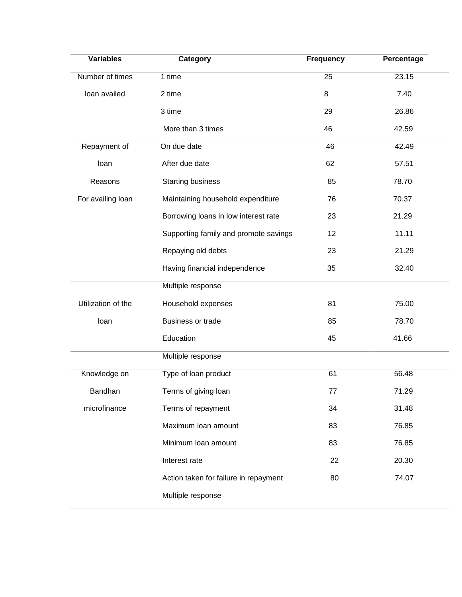| <b>Variables</b>   | Category                              | <b>Frequency</b> | Percentage |
|--------------------|---------------------------------------|------------------|------------|
| Number of times    | 1 time                                | 25               | 23.15      |
| loan availed       | 2 time                                | 8                | 7.40       |
|                    | 3 time                                | 29               | 26.86      |
|                    | More than 3 times                     | 46               | 42.59      |
| Repayment of       | On due date<br>46                     |                  | 42.49      |
| loan               | After due date<br>62                  |                  | 57.51      |
| Reasons            | <b>Starting business</b>              | 85               | 78.70      |
| For availing loan  | Maintaining household expenditure     | 76               | 70.37      |
|                    | Borrowing loans in low interest rate  | 23               | 21.29      |
|                    | Supporting family and promote savings | 12               | 11.11      |
|                    | Repaying old debts                    | 23               | 21.29      |
|                    | Having financial independence         | 35               | 32.40      |
|                    | Multiple response                     |                  |            |
| Utilization of the | Household expenses                    | $\overline{81}$  | 75.00      |
| loan               | <b>Business or trade</b>              | 85               | 78.70      |
|                    | Education                             | 45               | 41.66      |
|                    | Multiple response                     |                  |            |
| Knowledge on       | Type of loan product                  | 61               | 56.48      |
| Bandhan            | Terms of giving loan                  | 77               | 71.29      |
| microfinance       | Terms of repayment                    | 34               | 31.48      |
|                    | Maximum loan amount                   | 83               | 76.85      |
|                    | Minimum Ioan amount                   | 83               | 76.85      |
|                    | Interest rate                         | 22               | 20.30      |
|                    | Action taken for failure in repayment | 80               | 74.07      |
|                    | Multiple response                     |                  |            |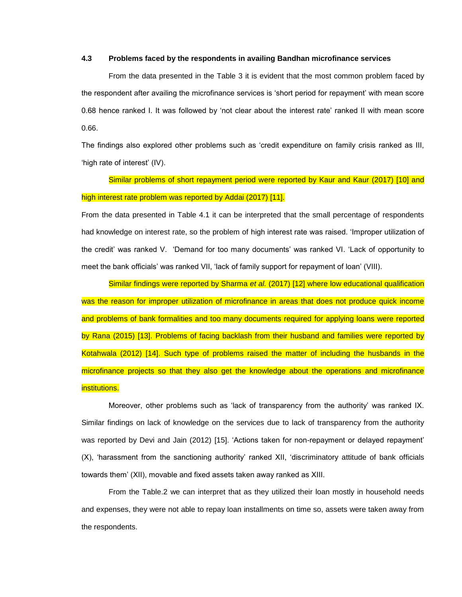#### **4.3 Problems faced by the respondents in availing Bandhan microfinance services**

From the data presented in the Table 3 it is evident that the most common problem faced by the respondent after availing the microfinance services is 'short period for repayment' with mean score 0.68 hence ranked I. It was followed by 'not clear about the interest rate' ranked II with mean score 0.66.

The findings also explored other problems such as 'credit expenditure on family crisis ranked as III, 'high rate of interest' (IV).

Similar problems of short repayment period were reported by Kaur and Kaur (2017) [10] and high interest rate problem was reported by Addai (2017) [11].

From the data presented in Table 4.1 it can be interpreted that the small percentage of respondents had knowledge on interest rate, so the problem of high interest rate was raised. 'Improper utilization of the credit' was ranked V. 'Demand for too many documents' was ranked VI. 'Lack of opportunity to meet the bank officials' was ranked VII, 'lack of family support for repayment of loan' (VIII).

Similar findings were reported by Sharma *et al.* (2017) [12] where low educational qualification was the reason for improper utilization of microfinance in areas that does not produce quick income and problems of bank formalities and too many documents required for applying loans were reported by Rana (2015) [13]. Problems of facing backlash from their husband and families were reported by Kotahwala (2012) [14]. Such type of problems raised the matter of including the husbands in the microfinance projects so that they also get the knowledge about the operations and microfinance institutions.

Moreover, other problems such as 'lack of transparency from the authority' was ranked IX. Similar findings on lack of knowledge on the services due to lack of transparency from the authority was reported by Devi and Jain (2012) [15]. 'Actions taken for non-repayment or delayed repayment' (X), 'harassment from the sanctioning authority' ranked XII, 'discriminatory attitude of bank officials towards them' (XII), movable and fixed assets taken away ranked as XIII.

From the Table.2 we can interpret that as they utilized their loan mostly in household needs and expenses, they were not able to repay loan installments on time so, assets were taken away from the respondents.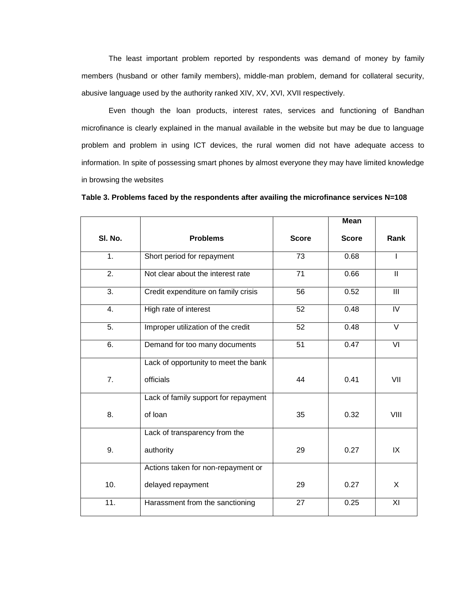The least important problem reported by respondents was demand of money by family members (husband or other family members), middle-man problem, demand for collateral security, abusive language used by the authority ranked XIV, XV, XVI, XVII respectively.

Even though the loan products, interest rates, services and functioning of Bandhan microfinance is clearly explained in the manual available in the website but may be due to language problem and problem in using ICT devices, the rural women did not have adequate access to information. In spite of possessing smart phones by almost everyone they may have limited knowledge in browsing the websites

**Table 3. Problems faced by the respondents after availing the microfinance services N=108**

|                   |                                      |              | <b>Mean</b>  |                |
|-------------------|--------------------------------------|--------------|--------------|----------------|
| SI. No.           | <b>Problems</b>                      | <b>Score</b> | <b>Score</b> | Rank           |
| 1 <sub>1</sub>    | Short period for repayment           | 73           | 0.68         | I              |
| 2.                | Not clear about the interest rate    | 71           | 0.66         | $\mathbf{II}$  |
| 3.                | Credit expenditure on family crisis  | 56           | 0.52         | III            |
| 4.                | High rate of interest                | 52           | 0.48         | $\overline{N}$ |
| 5.                | Improper utilization of the credit   | 52           | 0.48         | V              |
| 6.                | Demand for too many documents        | 51           | 0.47         | VI             |
|                   | Lack of opportunity to meet the bank |              |              |                |
| 7 <sub>1</sub>    | officials                            | 44           | 0.41         | VII            |
|                   | Lack of family support for repayment |              |              |                |
| 8.                | of loan                              | 35           | 0.32         | VIII           |
|                   | Lack of transparency from the        |              |              |                |
| 9.                | authority                            | 29           | 0.27         | IX             |
|                   | Actions taken for non-repayment or   |              |              |                |
| 10.               | delayed repayment                    | 29           | 0.27         | X              |
| $\overline{11}$ . | Harassment from the sanctioning      | 27           | 0.25         | ΧI             |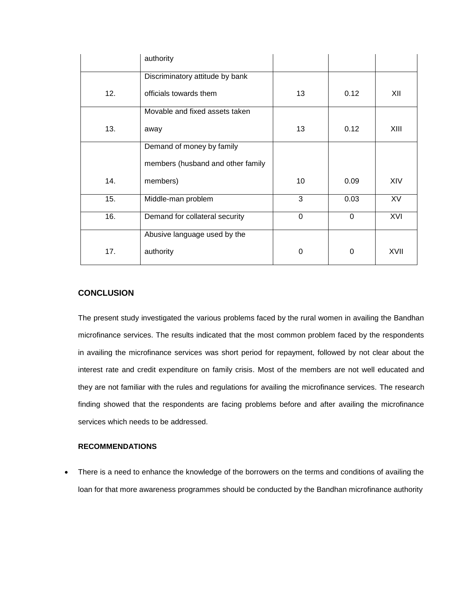|     | authority                         |             |      |           |
|-----|-----------------------------------|-------------|------|-----------|
|     | Discriminatory attitude by bank   |             |      |           |
| 12. | officials towards them            | 13          | 0.12 | XII       |
|     | Movable and fixed assets taken    |             |      |           |
| 13. | away                              | 13          | 0.12 | XIII      |
|     | Demand of money by family         |             |      |           |
|     | members (husband and other family |             |      |           |
| 14. | members)                          | 10          | 0.09 | XIV       |
| 15. | Middle-man problem                | 3           | 0.03 | <b>XV</b> |
| 16. | Demand for collateral security    | $\mathbf 0$ | 0    | XVI       |
|     | Abusive language used by the      |             |      |           |
| 17. | authority                         | 0           | 0    | XVII      |

## **CONCLUSION**

The present study investigated the various problems faced by the rural women in availing the Bandhan microfinance services. The results indicated that the most common problem faced by the respondents in availing the microfinance services was short period for repayment, followed by not clear about the interest rate and credit expenditure on family crisis. Most of the members are not well educated and they are not familiar with the rules and regulations for availing the microfinance services. The research finding showed that the respondents are facing problems before and after availing the microfinance services which needs to be addressed.

### **RECOMMENDATIONS**

 There is a need to enhance the knowledge of the borrowers on the terms and conditions of availing the loan for that more awareness programmes should be conducted by the Bandhan microfinance authority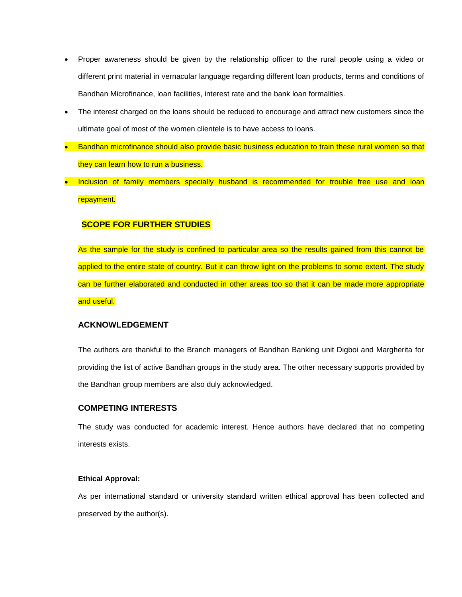- Proper awareness should be given by the relationship officer to the rural people using a video or different print material in vernacular language regarding different loan products, terms and conditions of Bandhan Microfinance, loan facilities, interest rate and the bank loan formalities.
- The interest charged on the loans should be reduced to encourage and attract new customers since the ultimate goal of most of the women clientele is to have access to loans.
- Bandhan microfinance should also provide basic business education to train these rural women so that they can learn how to run a business.
- Inclusion of family members specially husband is recommended for trouble free use and loan repayment.

## **SCOPE FOR FURTHER STUDIES**

As the sample for the study is confined to particular area so the results gained from this cannot be applied to the entire state of country. But it can throw light on the problems to some extent. The study can be further elaborated and conducted in other areas too so that it can be made more appropriate and useful.

#### **ACKNOWLEDGEMENT**

The authors are thankful to the Branch managers of Bandhan Banking unit Digboi and Margherita for providing the list of active Bandhan groups in the study area. The other necessary supports provided by the Bandhan group members are also duly acknowledged.

## **COMPETING INTERESTS**

The study was conducted for academic interest. Hence authors have declared that no competing interests exists.

#### **Ethical Approval:**

As per international standard or university standard written ethical approval has been collected and preserved by the author(s).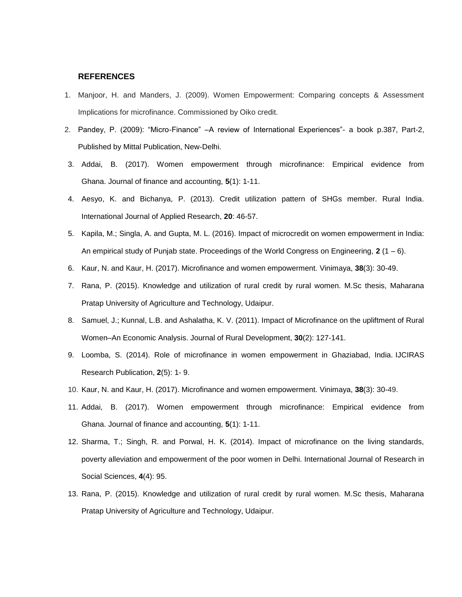#### **REFERENCES**

- 1. Manjoor, H. and Manders, J. (2009). Women Empowerment: Comparing concepts & Assessment Implications for microfinance. Commissioned by Oiko credit.
- 2. Pandey, P. (2009): "Micro-Finance" –A review of International Experiences"- a book p.387, Part-2, Published by Mittal Publication, New-Delhi.
- 3. Addai, B. (2017). Women empowerment through microfinance: Empirical evidence from Ghana. Journal of finance and accounting, **5**(1): 1-11.
- 4. Aesyo, K. and Bichanya, P. (2013). Credit utilization pattern of SHGs member. Rural India. International Journal of Applied Research, **20**: 46-57.
- 5. Kapila, M.; Singla, A. and Gupta, M. L. (2016). Impact of microcredit on women empowerment in India: An empirical study of Punjab state. Proceedings of the World Congress on Engineering, **2** (1 – 6).
- 6. Kaur, N. and Kaur, H. (2017). Microfinance and women empowerment. Vinimaya, **38**(3): 30-49.
- 7. Rana, P. (2015). Knowledge and utilization of rural credit by rural women. M.Sc thesis, Maharana Pratap University of Agriculture and Technology, Udaipur.
- 8. Samuel, J.; Kunnal, L.B. and Ashalatha, K. V. (2011). Impact of Microfinance on the upliftment of Rural Women–An Economic Analysis. Journal of Rural Development, **30**(2): 127-141.
- 9. Loomba, S. (2014). Role of microfinance in women empowerment in Ghaziabad, India. IJCIRAS Research Publication, **2**(5): 1- 9.
- 10. Kaur, N. and Kaur, H. (2017). Microfinance and women empowerment. Vinimaya, **38**(3): 30-49.
- 11. Addai, B. (2017). Women empowerment through microfinance: Empirical evidence from Ghana. Journal of finance and accounting, **5**(1): 1-11.
- 12. Sharma, T.; Singh, R. and Porwal, H. K. (2014). Impact of microfinance on the living standards, poverty alleviation and empowerment of the poor women in Delhi. International Journal of Research in Social Sciences, **4**(4): 95.
- 13. Rana, P. (2015). Knowledge and utilization of rural credit by rural women. M.Sc thesis, Maharana Pratap University of Agriculture and Technology, Udaipur.